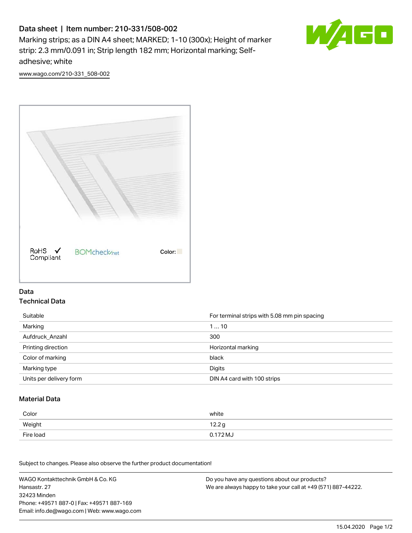# Data sheet | Item number: 210-331/508-002

Marking strips; as a DIN A4 sheet; MARKED; 1-10 (300x); Height of marker strip: 2.3 mm/0.091 in; Strip length 182 mm; Horizontal marking; Selfadhesive; white



[www.wago.com/210-331\\_508-002](http://www.wago.com/210-331_508-002)



#### Data Technical Data

| Suitable                | For terminal strips with 5.08 mm pin spacing |
|-------------------------|----------------------------------------------|
| Marking                 | 110                                          |
| Aufdruck Anzahl         | 300                                          |
| Printing direction      | Horizontal marking                           |
| Color of marking        | black                                        |
| Marking type            | Digits                                       |
| Units per delivery form | DIN A4 card with 100 strips                  |

#### Material Data

| Color     | white                       |
|-----------|-----------------------------|
| Weight    | 12.2g                       |
| Fire load | $0.172\,\mathrm{M}_{\odot}$ |

Subject to changes. Please also observe the further product documentation!

WAGO Kontakttechnik GmbH & Co. KG Hansastr. 27 32423 Minden Phone: +49571 887-0 | Fax: +49571 887-169 Email: info.de@wago.com | Web: www.wago.com Do you have any questions about our products? We are always happy to take your call at +49 (571) 887-44222.